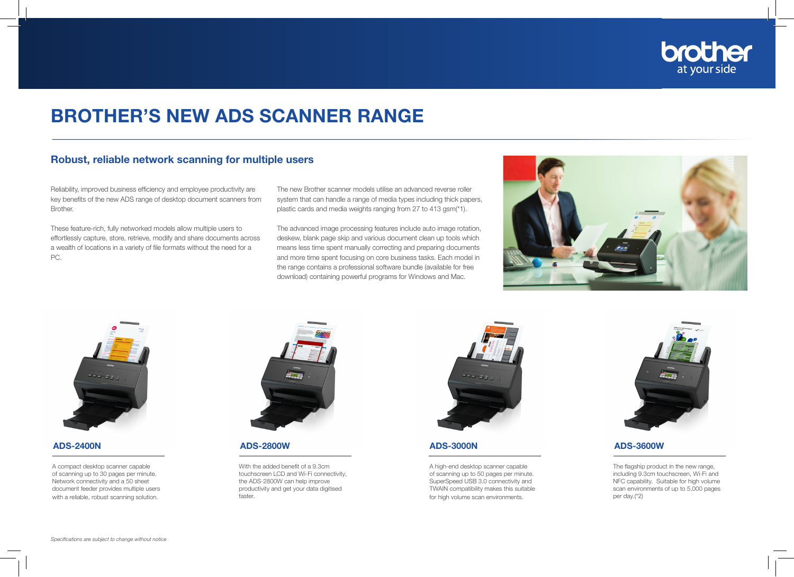

## BROTHER'S NEW ADS SCANNER RANGE

## Robust, reliable network scanning for multiple users

Reliability, improved business efficiency and employee productivity are key benefits of the new ADS range of desktop document scanners from Brother.

These feature-rich, fully networked models allow multiple users to effortlessly capture, store, retrieve, modify and share documents across a wealth of locations in a variety of file formats without the need for a PC.

The new Brother scanner models utilise an advanced reverse roller system that can handle a range of media types including thick papers, plastic cards and media weights ranging from 27 to 413 gsm(\*1).

The advanced image processing features include auto image rotation, deskew, blank page skip and various document clean up tools which means less time spent manually correcting and preparing documents and more time spent focusing on core business tasks. Each model in the range contains a professional software bundle (available for free download) containing powerful programs for Windows and Mac.





A compact desktop scanner capable of scanning up to 30 pages per minute. Network connectivity and a 50 sheet document feeder provides multiple users with a reliable, robust scanning solution.



ADS-2400N ADS-2800W ADS-3000N ADS-3600W

With the added benefit of a 9.3cm touchscreen LCD and Wi-Fi connectivity, the ADS-2800W can help improve productivity and get your data digitised faster.



A high-end desktop scanner capable of scanning up to 50 pages per minute. SuperSpeed USB 3.0 connectivity and TWAIN compatibility makes this suitable for high volume scan environments.



The flagship product in the new range, including 9.3cm touchscreen, Wi-Fi and NFC capability. Suitable for high volume scan environments of up to 5,000 pages per day.(\*2)